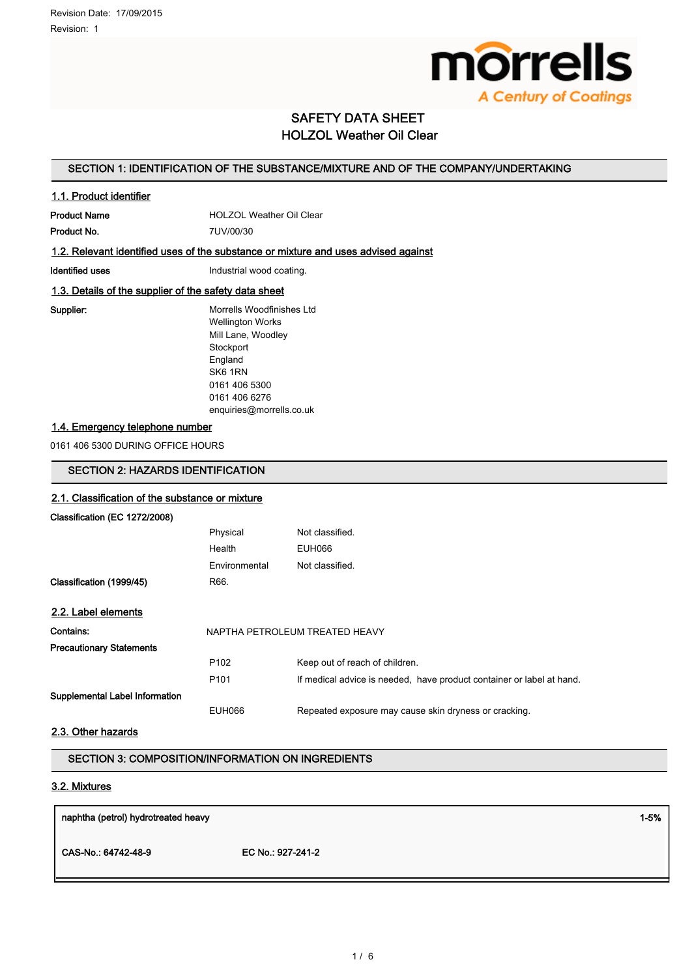

# SAFETY DATA SHEET HOLZOL Weather Oil Clear

## SECTION 1: IDENTIFICATION OF THE SUBSTANCE/MIXTURE AND OF THE COMPANY/UNDERTAKING

## 1.1. Product identifier

Product Name **HOLZOL Weather Oil Clear** Product No. 7UV/00/30

## 1.2. Relevant identified uses of the substance or mixture and uses advised against

Identified uses **Industrial wood coating.** 

## 1.3. Details of the supplier of the safety data sheet

Supplier: Morrells Woodfinishes Ltd Wellington Works Mill Lane, Woodley **Stockport** England SK6 1RN 0161 406 5300 0161 406 6276 enquiries@morrells.co.uk

## 1.4. Emergency telephone number

0161 406 5300 DURING OFFICE HOURS

# SECTION 2: HAZARDS IDENTIFICATION

# 2.1. Classification of the substance or mixture Classification (EC 1272/2008) Physical Not classified. Health EUH066 Environmental Not classified. Classification (1999/45) R66. 2.2. Label elements Contains: NAPTHA PETROLEUM TREATED HEAVY Precautionary Statements P102 Keep out of reach of children. P101 If medical advice is needed, have product container or label at hand. Supplemental Label Information EUH066 Repeated exposure may cause skin dryness or cracking.

## 2.3. Other hazards

## SECTION 3: COMPOSITION/INFORMATION ON INGREDIENTS

## 3.2. Mixtures

| naphtha (petrol) hydrotreated heavy |                   | $1 - 5%$ |
|-------------------------------------|-------------------|----------|
| CAS-No.: 64742-48-9                 | EC No.: 927-241-2 |          |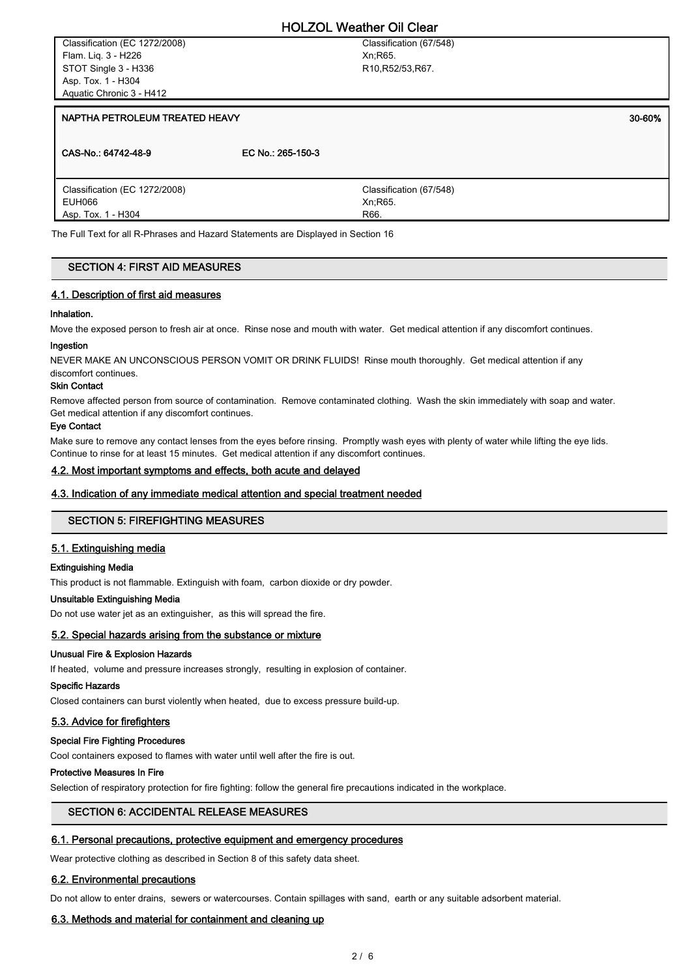Classification (EC 1272/2008) Flam. Liq. 3 - H226 STOT Single 3 - H336 Asp. Tox. 1 - H304 Aquatic Chronic 3 - H412

Classification (67/548) Xn;R65. R10,R52/53,R67.

#### NAPTHA PETROLEUM TREATED HEAVY **A straighter that the contract of the contract of the contract of the contract of the contract of the contract of the contract of the contract of the contract of the contract of the contract**

| CAS-No.: 64742-48-9           | EC No.: 265-150-3       |
|-------------------------------|-------------------------|
| Classification (EC 1272/2008) | Classification (67/548) |
| EUH066                        | Xn; R65.                |
| Asp. Tox. 1 - H304            | R66.                    |

The Full Text for all R-Phrases and Hazard Statements are Displayed in Section 16

#### SECTION 4: FIRST AID MEASURES

#### 4.1. Description of first aid measures

#### Inhalation.

Move the exposed person to fresh air at once. Rinse nose and mouth with water. Get medical attention if any discomfort continues.

#### Ingestion

NEVER MAKE AN UNCONSCIOUS PERSON VOMIT OR DRINK FLUIDS! Rinse mouth thoroughly. Get medical attention if any discomfort continues.

#### Skin Contact

Remove affected person from source of contamination. Remove contaminated clothing. Wash the skin immediately with soap and water. Get medical attention if any discomfort continues.

#### Eye Contact

Make sure to remove any contact lenses from the eyes before rinsing. Promptly wash eyes with plenty of water while lifting the eye lids. Continue to rinse for at least 15 minutes. Get medical attention if any discomfort continues.

#### 4.2. Most important symptoms and effects, both acute and delayed

#### 4.3. Indication of any immediate medical attention and special treatment needed

## SECTION 5: FIREFIGHTING MEASURES

#### 5.1. Extinguishing media

#### Extinguishing Media

This product is not flammable. Extinguish with foam, carbon dioxide or dry powder.

## Unsuitable Extinguishing Media

Do not use water jet as an extinguisher, as this will spread the fire.

#### 5.2. Special hazards arising from the substance or mixture

#### Unusual Fire & Explosion Hazards

If heated, volume and pressure increases strongly, resulting in explosion of container.

#### Specific Hazards

Closed containers can burst violently when heated, due to excess pressure build-up.

## 5.3. Advice for firefighters

#### Special Fire Fighting Procedures

Cool containers exposed to flames with water until well after the fire is out.

## Protective Measures In Fire

Selection of respiratory protection for fire fighting: follow the general fire precautions indicated in the workplace.

## SECTION 6: ACCIDENTAL RELEASE MEASURES

#### 6.1. Personal precautions, protective equipment and emergency procedures

Wear protective clothing as described in Section 8 of this safety data sheet.

## 6.2. Environmental precautions

Do not allow to enter drains, sewers or watercourses. Contain spillages with sand, earth or any suitable adsorbent material.

## 6.3. Methods and material for containment and cleaning up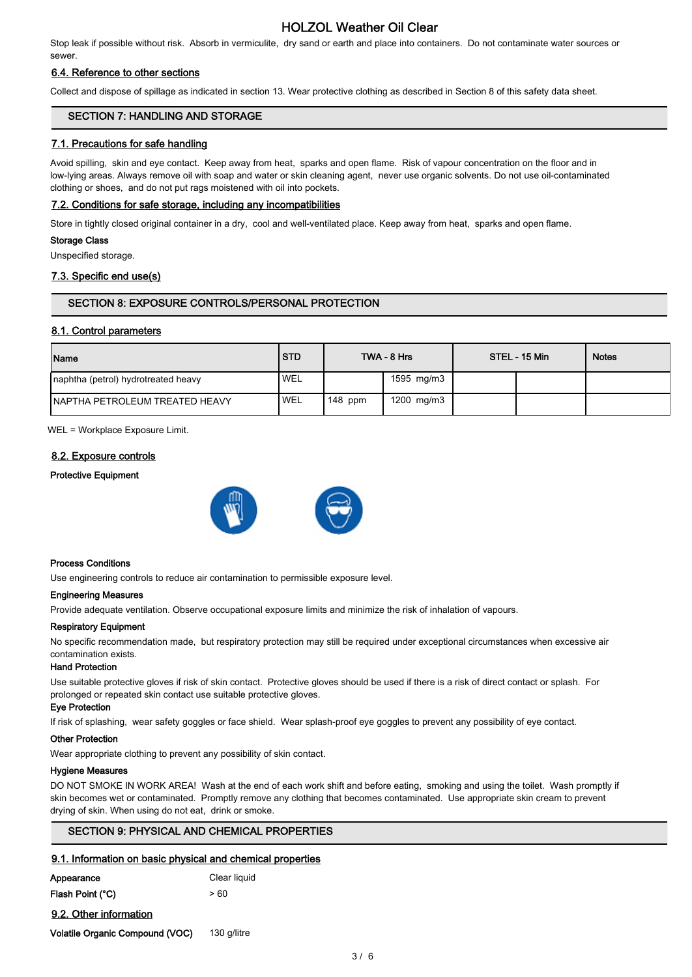# HOLZOL Weather Oil Clear

Stop leak if possible without risk. Absorb in vermiculite, dry sand or earth and place into containers. Do not contaminate water sources or sewer.

## 6.4. Reference to other sections

Collect and dispose of spillage as indicated in section 13. Wear protective clothing as described in Section 8 of this safety data sheet.

## SECTION 7: HANDLING AND STORAGE

## 7.1. Precautions for safe handling

Avoid spilling, skin and eye contact. Keep away from heat, sparks and open flame. Risk of vapour concentration on the floor and in low-lying areas. Always remove oil with soap and water or skin cleaning agent, never use organic solvents. Do not use oil-contaminated clothing or shoes, and do not put rags moistened with oil into pockets.

## 7.2. Conditions for safe storage, including any incompatibilities

Store in tightly closed original container in a dry, cool and well-ventilated place. Keep away from heat, sparks and open flame.

#### Storage Class

Unspecified storage.

## 7.3. Specific end use(s)

## SECTION 8: EXPOSURE CONTROLS/PERSONAL PROTECTION

## 8.1. Control parameters

| <b>Name</b>                            | <b>STD</b> |           | TWA - 8 Hrs | STEL - 15 Min | <b>Notes</b> |
|----------------------------------------|------------|-----------|-------------|---------------|--------------|
| Inaphtha (petrol) hydrotreated heavy   | <b>WEL</b> |           | 1595 mg/m3  |               |              |
| <b>INAPTHA PETROLEUM TREATED HEAVY</b> | 'WEL       | $148$ ppm | 1200 mg/m3  |               |              |

WEL = Workplace Exposure Limit.

## 8.2. Exposure controls

#### Protective Equipment





#### Process Conditions

Use engineering controls to reduce air contamination to permissible exposure level.

#### Engineering Measures

Provide adequate ventilation. Observe occupational exposure limits and minimize the risk of inhalation of vapours.

#### Respiratory Equipment

No specific recommendation made, but respiratory protection may still be required under exceptional circumstances when excessive air contamination exists.

#### Hand Protection

Use suitable protective gloves if risk of skin contact. Protective gloves should be used if there is a risk of direct contact or splash. For prolonged or repeated skin contact use suitable protective gloves.

## Eye Protection

If risk of splashing, wear safety goggles or face shield. Wear splash-proof eye goggles to prevent any possibility of eye contact.

#### Other Protection

Wear appropriate clothing to prevent any possibility of skin contact.

#### Hygiene Measures

DO NOT SMOKE IN WORK AREA! Wash at the end of each work shift and before eating, smoking and using the toilet. Wash promptly if skin becomes wet or contaminated. Promptly remove any clothing that becomes contaminated. Use appropriate skin cream to prevent drying of skin. When using do not eat, drink or smoke.

## SECTION 9: PHYSICAL AND CHEMICAL PROPERTIES

## 9.1. Information on basic physical and chemical properties

| Appearance       | Clear liquid |
|------------------|--------------|
| Flash Point (°C) | > 60         |

9.2. Other information

Volatile Organic Compound (VOC) 130 g/litre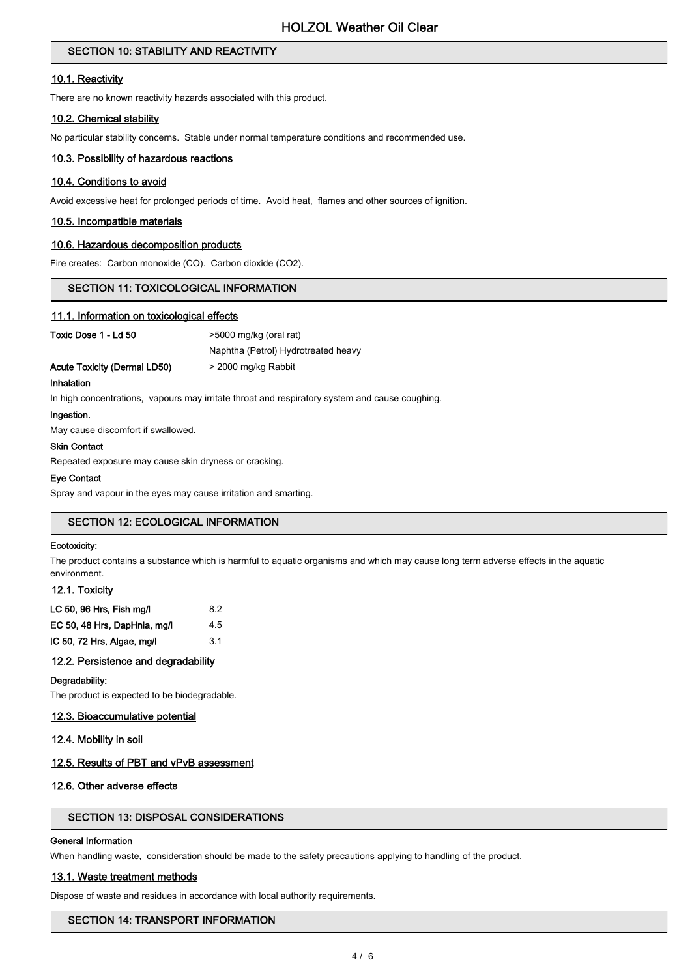## SECTION 10: STABILITY AND REACTIVITY

## 10.1. Reactivity

There are no known reactivity hazards associated with this product.

## 10.2. Chemical stability

No particular stability concerns. Stable under normal temperature conditions and recommended use.

#### 10.3. Possibility of hazardous reactions

## 10.4. Conditions to avoid

Avoid excessive heat for prolonged periods of time. Avoid heat, flames and other sources of ignition.

## 10.5. Incompatible materials

## 10.6. Hazardous decomposition products

Fire creates: Carbon monoxide (CO). Carbon dioxide (CO2).

## SECTION 11: TOXICOLOGICAL INFORMATION

#### 11.1. Information on toxicological effects

Toxic Dose 1 - Ld 50 >5000 mg/kg (oral rat)

Naphtha (Petrol) Hydrotreated heavy Acute Toxicity (Dermal LD50) > 2000 mg/kg Rabbit

Inhalation

In high concentrations, vapours may irritate throat and respiratory system and cause coughing.

#### Ingestion.

May cause discomfort if swallowed.

#### Skin Contact

Repeated exposure may cause skin dryness or cracking.

#### Eye Contact

Spray and vapour in the eyes may cause irritation and smarting.

## SECTION 12: ECOLOGICAL INFORMATION

## Ecotoxicity:

The product contains a substance which is harmful to aquatic organisms and which may cause long term adverse effects in the aquatic environment.

## 12.1. Toxicity

| LC 50, 96 Hrs, Fish mg/l     | 82  |
|------------------------------|-----|
| EC 50, 48 Hrs, DapHnia, mg/l | 4.5 |
| IC 50, 72 Hrs, Algae, mg/l   | 31  |

## 12.2. Persistence and degradability

#### Degradability:

The product is expected to be biodegradable.

#### 12.3. Bioaccumulative potential

## 12.4. Mobility in soil

## 12.5. Results of PBT and vPvB assessment

## 12.6. Other adverse effects

## SECTION 13: DISPOSAL CONSIDERATIONS

## General Information

When handling waste, consideration should be made to the safety precautions applying to handling of the product.

#### 13.1. Waste treatment methods

Dispose of waste and residues in accordance with local authority requirements.

## SECTION 14: TRANSPORT INFORMATION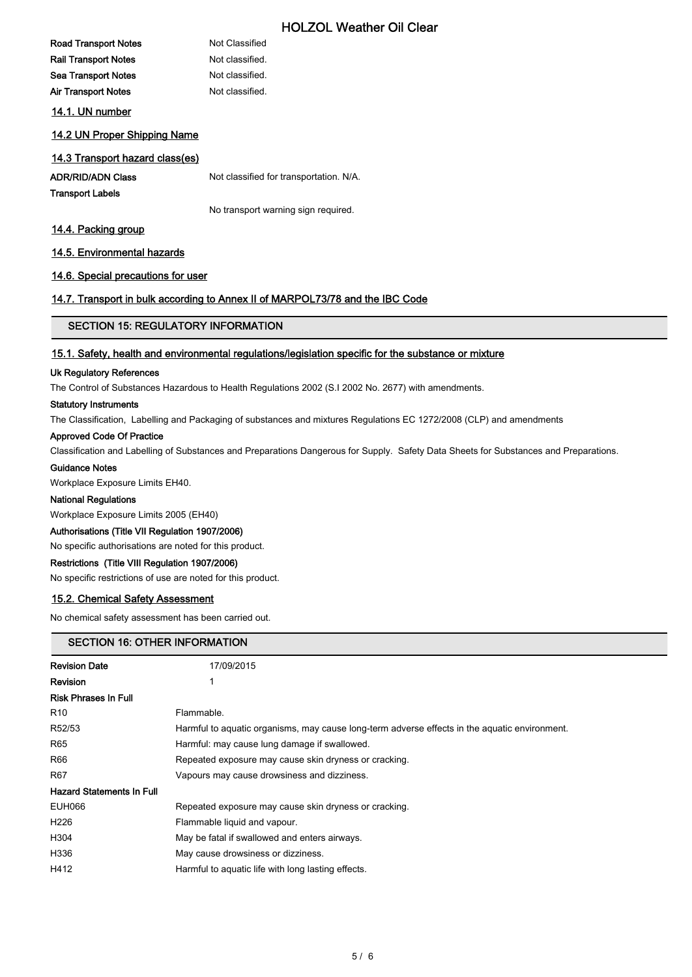# HOLZOL Weather Oil Clear

# Road Transport Notes Not Classified Rail Transport Notes Not classified. Sea Transport Notes Not classified. Air Transport Notes Not classified. 14.1. UN number

## 14.2 UN Proper Shipping Name

# 14.3 Transport hazard class(es)

ADR/RID/ADN Class Not classified for transportation. N/A.

Transport Labels

No transport warning sign required.

## 14.4. Packing group

## 14.5. Environmental hazards

## 14.6. Special precautions for user

## 14.7. Transport in bulk according to Annex II of MARPOL73/78 and the IBC Code

## SECTION 15: REGULATORY INFORMATION

## 15.1. Safety, health and environmental regulations/legislation specific for the substance or mixture

#### Uk Regulatory References

The Control of Substances Hazardous to Health Regulations 2002 (S.I 2002 No. 2677) with amendments.

#### Statutory Instruments

The Classification, Labelling and Packaging of substances and mixtures Regulations EC 1272/2008 (CLP) and amendments

## Approved Code Of Practice

Classification and Labelling of Substances and Preparations Dangerous for Supply. Safety Data Sheets for Substances and Preparations.

#### Guidance Notes

Workplace Exposure Limits EH40.

## National Regulations

Workplace Exposure Limits 2005 (EH40)

#### Authorisations (Title VII Regulation 1907/2006)

No specific authorisations are noted for this product.

## Restrictions (Title VIII Regulation 1907/2006)

No specific restrictions of use are noted for this product.

## 15.2. Chemical Safety Assessment

No chemical safety assessment has been carried out.

## SECTION 16: OTHER INFORMATION

| <b>Revision Date</b>             | 17/09/2015                                                                                    |
|----------------------------------|-----------------------------------------------------------------------------------------------|
| Revision                         | 1                                                                                             |
| Risk Phrases In Full             |                                                                                               |
| R10                              | Flammable.                                                                                    |
| R52/53                           | Harmful to aquatic organisms, may cause long-term adverse effects in the aquatic environment. |
| R65                              | Harmful: may cause lung damage if swallowed.                                                  |
| R66                              | Repeated exposure may cause skin dryness or cracking.                                         |
| R67                              | Vapours may cause drowsiness and dizziness.                                                   |
| <b>Hazard Statements In Full</b> |                                                                                               |
| EUH066                           | Repeated exposure may cause skin dryness or cracking.                                         |
| H226                             | Flammable liquid and vapour.                                                                  |
| H304                             | May be fatal if swallowed and enters airways.                                                 |
| H336                             | May cause drowsiness or dizziness.                                                            |
| H412                             | Harmful to aquatic life with long lasting effects.                                            |
|                                  |                                                                                               |